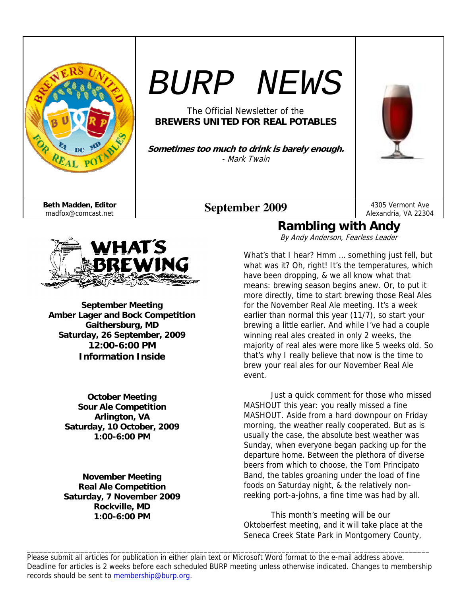



**September Meeting Amber Lager and Bock Competition Gaithersburg, MD Saturday, 26 September, 2009 12:00-6:00 PM Information Inside** 

> **October Meeting Sour Ale Competition Arlington, VA Saturday, 10 October, 2009 1:00-6:00 PM**

> **November Meeting Real Ale Competition Saturday, 7 November 2009 Rockville, MD 1:00-6:00 PM**

# **Rambling with Andy**

By Andy Anderson, Fearless Leader

What's that I hear? Hmm … something just fell, but what was it? Oh, right! It's the temperatures, which have been dropping, & we all know what that means: brewing season begins anew. Or, to put it more directly, time to start brewing those Real Ales for the November Real Ale meeting. It's a week earlier than normal this year (11/7), so start your brewing a little earlier. And while I've had a couple winning real ales created in only 2 weeks, the majority of real ales were more like 5 weeks old. So that's why I really believe that now is the time to brew your real ales for our November Real Ale event.

Just a quick comment for those who missed MASHOUT this year: you really missed a fine MASHOUT. Aside from a hard downpour on Friday morning, the weather really cooperated. But as is usually the case, the absolute best weather was Sunday, when everyone began packing up for the departure home. Between the plethora of diverse beers from which to choose, the Tom Principato Band, the tables groaning under the load of fine foods on Saturday night, & the relatively nonreeking port-a-johns, a fine time was had by all.

 This month's meeting will be our Oktoberfest meeting, and it will take place at the Seneca Creek State Park in Montgomery County,

Please submit all articles for publication in either plain text or Microsoft Word format to the e-mail address above. Deadline for articles is 2 weeks before each scheduled BURP meeting unless otherwise indicated. Changes to membership records should be sent to membership@burp.org.

\_\_\_\_\_\_\_\_\_\_\_\_\_\_\_\_\_\_\_\_\_\_\_\_\_\_\_\_\_\_\_\_\_\_\_\_\_\_\_\_\_\_\_\_\_\_\_\_\_\_\_\_\_\_\_\_\_\_\_\_\_\_\_\_\_\_\_\_\_\_\_\_\_\_\_\_\_\_\_\_\_\_\_\_\_\_\_\_\_\_\_\_\_\_\_\_\_\_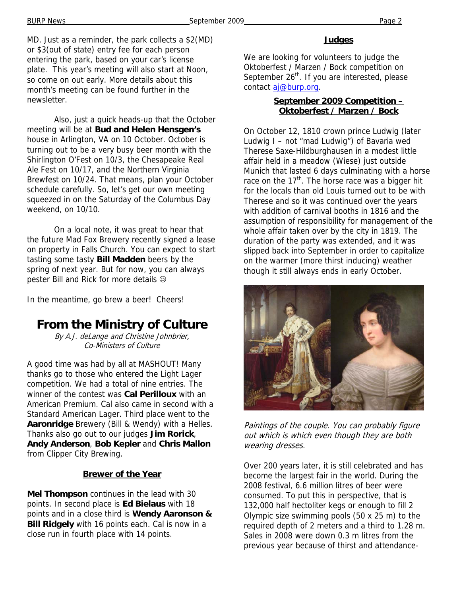MD. Just as a reminder, the park collects a \$2(MD) or \$3(out of state) entry fee for each person entering the park, based on your car's license plate. This year's meeting will also start at Noon, so come on out early. More details about this month's meeting can be found further in the newsletter.

 Also, just a quick heads-up that the October meeting will be at **Bud and Helen Hensgen's** house in Arlington, VA on 10 October. October is turning out to be a very busy beer month with the Shirlington O'Fest on 10/3, the Chesapeake Real Ale Fest on 10/17, and the Northern Virginia Brewfest on 10/24. That means, plan your October schedule carefully. So, let's get our own meeting squeezed in on the Saturday of the Columbus Day weekend, on 10/10.

 On a local note, it was great to hear that the future Mad Fox Brewery recently signed a lease on property in Falls Church. You can expect to start tasting some tasty **Bill Madden** beers by the spring of next year. But for now, you can always pester Bill and Rick for more details  $\odot$ 

In the meantime, go brew a beer! Cheers!

### **From the Ministry of Culture**

By A.J. deLange and Christine Johnbrier, Co-Ministers of Culture

A good time was had by all at MASHOUT! Many thanks go to those who entered the Light Lager competition. We had a total of nine entries. The winner of the contest was **Cal Perilloux** with an American Premium. Cal also came in second with a Standard American Lager. Third place went to the **Aaronridge** Brewery (Bill & Wendy) with a Helles. Thanks also go out to our judges **Jim Rorick**, **Andy Anderson**, **Bob Kepler** and **Chris Mallon** from Clipper City Brewing.

#### **Brewer of the Year**

**Mel Thompson** continues in the lead with 30 points. In second place is **Ed Bielaus** with 18 points and in a close third is **Wendy Aaronson & Bill Ridgely** with 16 points each. Cal is now in a close run in fourth place with 14 points.

#### **Judges**

We are looking for volunteers to judge the Oktoberfest / Marzen / Bock competition on September  $26<sup>th</sup>$ . If you are interested, please contact aj@burp.org.

#### **September 2009 Competition – Oktoberfest / Marzen / Bock**

On October 12, 1810 crown prince Ludwig (later Ludwig I – not "mad Ludwig") of Bavaria wed Therese Saxe-Hildburghausen in a modest little affair held in a meadow (Wiese) just outside Munich that lasted 6 days culminating with a horse race on the  $17<sup>th</sup>$ . The horse race was a bigger hit for the locals than old Louis turned out to be with Therese and so it was continued over the years with addition of carnival booths in 1816 and the assumption of responsibility for management of the whole affair taken over by the city in 1819. The duration of the party was extended, and it was slipped back into September in order to capitalize on the warmer (more thirst inducing) weather though it still always ends in early October.



Paintings of the couple. You can probably figure out which is which even though they are both wearing dresses.

Over 200 years later, it is still celebrated and has become the largest fair in the world. During the 2008 festival, 6.6 million litres of beer were consumed. To put this in perspective, that is 132,000 half hectoliter kegs or enough to fill 2 Olympic size swimming pools (50 x 25 m) to the required depth of 2 meters and a third to 1.28 m. Sales in 2008 were down 0.3 m litres from the previous year because of thirst and attendance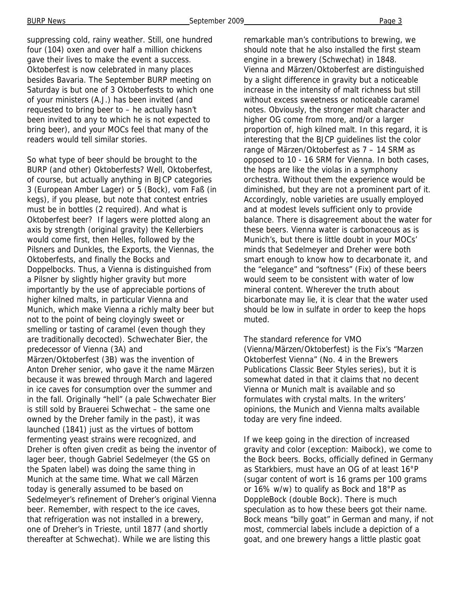suppressing cold, rainy weather. Still, one hundred four (104) oxen and over half a million chickens gave their lives to make the event a success. Oktoberfest is now celebrated in many places besides Bavaria. The September BURP meeting on Saturday is but one of 3 Oktoberfests to which one of your ministers (A.J.) has been invited (and requested to bring beer to – he actually hasn't been invited to any to which he is not expected to bring beer), and your MOCs feel that many of the readers would tell similar stories.

So what type of beer should be brought to the BURP (and other) Oktoberfests? Well, Oktoberfest, of course, but actually anything in BJCP categories 3 (European Amber Lager) or 5 (Bock), vom Faß (in kegs), if you please, but note that contest entries must be in bottles (2 required). And what is Oktoberfest beer? If lagers were plotted along an axis by strength (original gravity) the Kellerbiers would come first, then Helles, followed by the Pilsners and Dunkles, the Exports, the Viennas, the Oktoberfests, and finally the Bocks and Doppelbocks. Thus, a Vienna is distinguished from a Pilsner by slightly higher gravity but more importantly by the use of appreciable portions of higher kilned malts, in particular Vienna and Munich, which make Vienna a richly malty beer but not to the point of being cloyingly sweet or smelling or tasting of caramel (even though they are traditionally decocted). Schwechater Bier, the predecessor of Vienna (3A) and Märzen/Oktoberfest (3B) was the invention of Anton Dreher senior, who gave it the name Märzen because it was brewed through March and lagered in ice caves for consumption over the summer and in the fall. Originally "hell" (a pale Schwechater Bier is still sold by Brauerei Schwechat – the same one owned by the Dreher family in the past), it was launched (1841) just as the virtues of bottom fermenting yeast strains were recognized, and Dreher is often given credit as being the inventor of lager beer, though Gabriel Sedelmeyer (the GS on the Spaten label) was doing the same thing in Munich at the same time. What we call Märzen today is generally assumed to be based on Sedelmeyer's refinement of Dreher's original Vienna beer. Remember, with respect to the ice caves, that refrigeration was not installed in a brewery, one of Dreher's in Trieste, until 1877 (and shortly thereafter at Schwechat). While we are listing this

remarkable man's contributions to brewing, we should note that he also installed the first steam engine in a brewery (Schwechat) in 1848. Vienna and Märzen/Oktoberfest are distinguished by a slight difference in gravity but a noticeable increase in the intensity of malt richness but still without excess sweetness or noticeable caramel notes. Obviously, the stronger malt character and higher OG come from more, and/or a larger proportion of, high kilned malt. In this regard, it is interesting that the BJCP guidelines list the color range of Märzen/Oktoberfest as 7 – 14 SRM as opposed to 10 - 16 SRM for Vienna. In both cases, the hops are like the violas in a symphony orchestra. Without them the experience would be diminished, but they are not a prominent part of it. Accordingly, noble varieties are usually employed and at modest levels sufficient only to provide balance. There is disagreement about the water for these beers. Vienna water is carbonaceous as is Munich's, but there is little doubt in your MOCs' minds that Sedelmeyer and Dreher were both smart enough to know how to decarbonate it, and the "elegance" and "softness" (Fix) of these beers would seem to be consistent with water of low mineral content. Wherever the truth about bicarbonate may lie, it is clear that the water used should be low in sulfate in order to keep the hops muted.

#### The standard reference for VMO (Vienna/Märzen/Oktoberfest) is the Fix's "Marzen Oktoberfest Vienna" (No. 4 in the Brewers Publications Classic Beer Styles series), but it is somewhat dated in that it claims that no decent Vienna or Munich malt is available and so formulates with crystal malts. In the writers' opinions, the Munich and Vienna malts available today are very fine indeed.

If we keep going in the direction of increased gravity and color (exception: Maibock), we come to the Bock beers. Bocks, officially defined in Germany as Starkbiers, must have an OG of at least 16°P (sugar content of wort is 16 grams per 100 grams or 16% w/w) to qualify as Bock and 18°P as DoppleBock (double Bock). There is much speculation as to how these beers got their name. Bock means "billy goat" in German and many, if not most, commercial labels include a depiction of a goat, and one brewery hangs a little plastic goat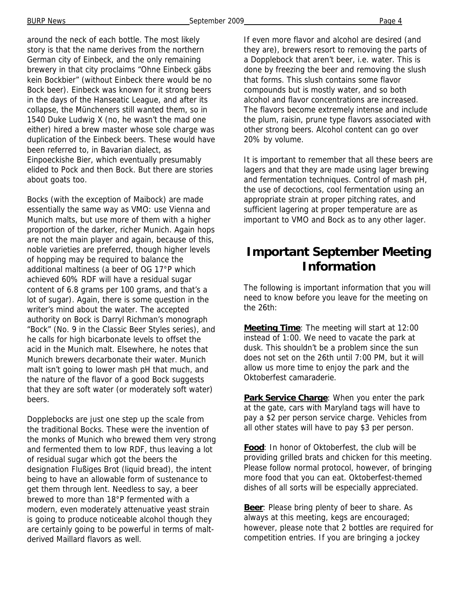around the neck of each bottle. The most likely story is that the name derives from the northern German city of Einbeck, and the only remaining brewery in that city proclaims "Ohne Einbeck gäbs kein Bockbier" (without Einbeck there would be no Bock beer). Einbeck was known for it strong beers in the days of the Hanseatic League, and after its collapse, the Müncheners still wanted them, so in 1540 Duke Ludwig X (no, he wasn't the mad one either) hired a brew master whose sole charge was duplication of the Einbeck beers. These would have been referred to, in Bavarian dialect, as Einpoeckishe Bier, which eventually presumably elided to Pock and then Bock. But there are stories about goats too.

Bocks (with the exception of Maibock) are made essentially the same way as VMO: use Vienna and Munich malts, but use more of them with a higher proportion of the darker, richer Munich. Again hops are not the main player and again, because of this, noble varieties are preferred, though higher levels of hopping may be required to balance the additional maltiness (a beer of OG 17°P which achieved 60% RDF will have a residual sugar content of 6.8 grams per 100 grams, and that's a lot of sugar). Again, there is some question in the writer's mind about the water. The accepted authority on Bock is Darryl Richman's monograph "Bock" (No. 9 in the Classic Beer Styles series), and he calls for high bicarbonate levels to offset the acid in the Munich malt. Elsewhere, he notes that Munich brewers decarbonate their water. Munich malt isn't going to lower mash pH that much, and the nature of the flavor of a good Bock suggests that they are soft water (or moderately soft water) beers.

Dopplebocks are just one step up the scale from the traditional Bocks. These were the invention of the monks of Munich who brewed them very strong and fermented them to low RDF, thus leaving a lot of residual sugar which got the beers the designation Flußiges Brot (liquid bread), the intent being to have an allowable form of sustenance to get them through lent. Needless to say, a beer brewed to more than 18°P fermented with a modern, even moderately attenuative yeast strain is going to produce noticeable alcohol though they are certainly going to be powerful in terms of maltderived Maillard flavors as well.

If even more flavor and alcohol are desired (and they are), brewers resort to removing the parts of a Dopplebock that aren't beer, i.e. water. This is done by freezing the beer and removing the slush that forms. This slush contains some flavor compounds but is mostly water, and so both alcohol and flavor concentrations are increased. The flavors become extremely intense and include the plum, raisin, prune type flavors associated with other strong beers. Alcohol content can go over 20% by volume.

It is important to remember that all these beers are lagers and that they are made using lager brewing and fermentation techniques. Control of mash pH, the use of decoctions, cool fermentation using an appropriate strain at proper pitching rates, and sufficient lagering at proper temperature are as important to VMO and Bock as to any other lager.

### **Important September Meeting Information**

The following is important information that you will need to know before you leave for the meeting on the 26th:

**Meeting Time**: The meeting will start at 12:00 instead of 1:00. We need to vacate the park at dusk. This shouldn't be a problem since the sun does not set on the 26th until 7:00 PM, but it will allow us more time to enjoy the park and the Oktoberfest camaraderie.

**Park Service Charge**: When you enter the park at the gate, cars with Maryland tags will have to pay a \$2 per person service charge. Vehicles from all other states will have to pay \$3 per person.

**Food**: In honor of Oktoberfest, the club will be providing grilled brats and chicken for this meeting. Please follow normal protocol, however, of bringing more food that you can eat. Oktoberfest-themed dishes of all sorts will be especially appreciated.

**Beer:** Please bring plenty of beer to share. As always at this meeting, kegs are encouraged; however, please note that 2 bottles are required for competition entries. If you are bringing a jockey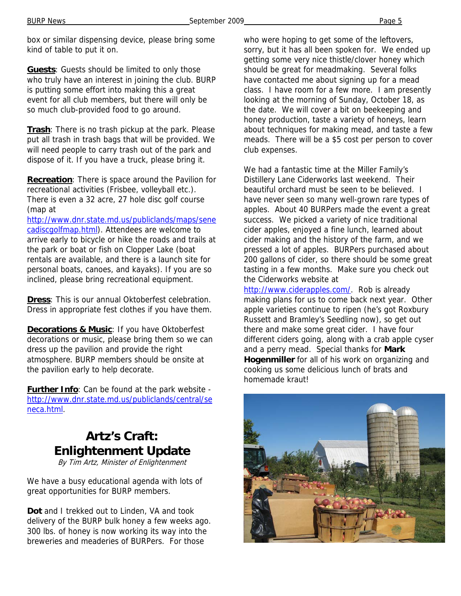box or similar dispensing device, please bring some kind of table to put it on.

**Guests**: Guests should be limited to only those who truly have an interest in joining the club. BURP is putting some effort into making this a great event for all club members, but there will only be so much club-provided food to go around.

**Trash**: There is no trash pickup at the park. Please put all trash in trash bags that will be provided. We will need people to carry trash out of the park and dispose of it. If you have a truck, please bring it.

**Recreation**: There is space around the Pavilion for recreational activities (Frisbee, volleyball etc.). There is even a 32 acre, 27 hole disc golf course (map at

http://www.dnr.state.md.us/publiclands/maps/sene cadiscgolfmap.html). Attendees are welcome to arrive early to bicycle or hike the roads and trails at the park or boat or fish on Clopper Lake (boat rentals are available, and there is a launch site for personal boats, canoes, and kayaks). If you are so inclined, please bring recreational equipment.

**Dress**: This is our annual Oktoberfest celebration. Dress in appropriate fest clothes if you have them.

**Decorations & Music**: If you have Oktoberfest decorations or music, please bring them so we can dress up the pavilion and provide the right atmosphere. BURP members should be onsite at the pavilion early to help decorate.

**Further Info**: Can be found at the park website http://www.dnr.state.md.us/publiclands/central/se neca.html.

# **Artz's Craft: Enlightenment Update**

By Tim Artz, Minister of Enlightenment

We have a busy educational agenda with lots of great opportunities for BURP members.

**Dot** and I trekked out to Linden, VA and took delivery of the BURP bulk honey a few weeks ago. 300 lbs. of honey is now working its way into the breweries and meaderies of BURPers. For those

who were hoping to get some of the leftovers, sorry, but it has all been spoken for. We ended up getting some very nice thistle/clover honey which should be great for meadmaking. Several folks have contacted me about signing up for a mead class. I have room for a few more. I am presently looking at the morning of Sunday, October 18, as the date. We will cover a bit on beekeeping and honey production, taste a variety of honeys, learn about techniques for making mead, and taste a few meads. There will be a \$5 cost per person to cover club expenses.

We had a fantastic time at the Miller Family's Distillery Lane Ciderworks last weekend. Their beautiful orchard must be seen to be believed. I have never seen so many well-grown rare types of apples. About 40 BURPers made the event a great success. We picked a variety of nice traditional cider apples, enjoyed a fine lunch, learned about cider making and the history of the farm, and we pressed a lot of apples. BURPers purchased about 200 gallons of cider, so there should be some great tasting in a few months. Make sure you check out the Ciderworks website at

http://www.ciderapples.com/. Rob is already making plans for us to come back next year. Other apple varieties continue to ripen (he's got Roxbury Russett and Bramley's Seedling now), so get out there and make some great cider. I have four different ciders going, along with a crab apple cyser and a perry mead. Special thanks for **Mark Hogenmiller** for all of his work on organizing and cooking us some delicious lunch of brats and homemade kraut!

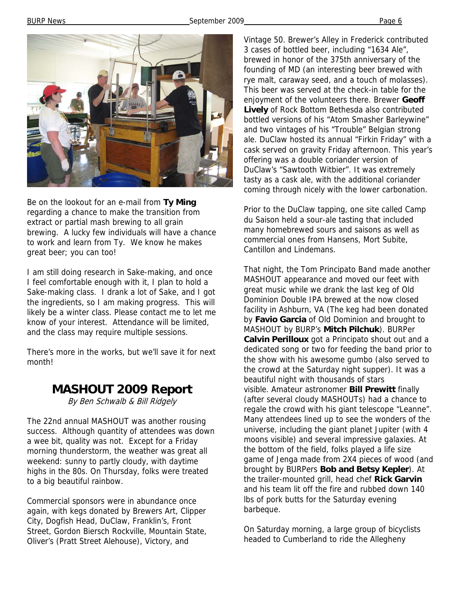BURP News **September 2009** Page 6



Be on the lookout for an e-mail from **Ty Ming**  regarding a chance to make the transition from extract or partial mash brewing to all grain brewing. A lucky few individuals will have a chance to work and learn from Ty. We know he makes great beer; you can too!

I am still doing research in Sake-making, and once I feel comfortable enough with it, I plan to hold a Sake-making class. I drank a lot of Sake, and I got the ingredients, so I am making progress. This will likely be a winter class. Please contact me to let me know of your interest. Attendance will be limited, and the class may require multiple sessions.

There's more in the works, but we'll save it for next month!

### **MASHOUT 2009 Report**

By Ben Schwalb & Bill Ridgely

The 22nd annual MASHOUT was another rousing success. Although quantity of attendees was down a wee bit, quality was not. Except for a Friday morning thunderstorm, the weather was great all weekend: sunny to partly cloudy, with daytime highs in the 80s. On Thursday, folks were treated to a big beautiful rainbow.

Commercial sponsors were in abundance once again, with kegs donated by Brewers Art, Clipper City, Dogfish Head, DuClaw, Franklin's, Front Street, Gordon Biersch Rockville, Mountain State, Oliver's (Pratt Street Alehouse), Victory, and

Vintage 50. Brewer's Alley in Frederick contributed 3 cases of bottled beer, including "1634 Ale", brewed in honor of the 375th anniversary of the founding of MD (an interesting beer brewed with rye malt, caraway seed, and a touch of molasses). This beer was served at the check-in table for the enjoyment of the volunteers there. Brewer **Geoff Lively** of Rock Bottom Bethesda also contributed bottled versions of his "Atom Smasher Barleywine" and two vintages of his "Trouble" Belgian strong ale. DuClaw hosted its annual "Firkin Friday" with a cask served on gravity Friday afternoon. This year's offering was a double coriander version of DuClaw's "Sawtooth Witbier". It was extremely tasty as a cask ale, with the additional coriander coming through nicely with the lower carbonation.

Prior to the DuClaw tapping, one site called Camp du Saison held a sour-ale tasting that included many homebrewed sours and saisons as well as commercial ones from Hansens, Mort Subite, Cantillon and Lindemans.

That night, the Tom Principato Band made another MASHOUT appearance and moved our feet with great music while we drank the last keg of Old Dominion Double IPA brewed at the now closed facility in Ashburn, VA (The keg had been donated by **Favio Garcia** of Old Dominion and brought to MASHOUT by BURP's **Mitch Pilchuk**). BURPer **Calvin Perilloux** got a Principato shout out and a dedicated song or two for feeding the band prior to the show with his awesome gumbo (also served to the crowd at the Saturday night supper). It was a beautiful night with thousands of stars visible. Amateur astronomer **Bill Prewitt** finally (after several cloudy MASHOUTs) had a chance to regale the crowd with his giant telescope "Leanne". Many attendees lined up to see the wonders of the universe, including the giant planet Jupiter (with 4 moons visible) and several impressive galaxies. At the bottom of the field, folks played a life size game of Jenga made from 2X4 pieces of wood (and brought by BURPers **Bob and Betsy Kepler**). At the trailer-mounted grill, head chef **Rick Garvin**  and his team lit off the fire and rubbed down 140 lbs of pork butts for the Saturday evening barbeque.

On Saturday morning, a large group of bicyclists headed to Cumberland to ride the Allegheny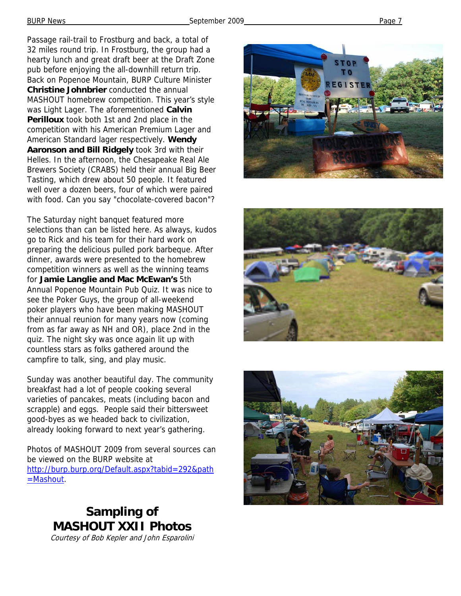Passage rail-trail to Frostburg and back, a total of 32 miles round trip. In Frostburg, the group had a hearty lunch and great draft beer at the Draft Zone pub before enjoying the all-downhill return trip. Back on Popenoe Mountain, BURP Culture Minister **Christine Johnbrier** conducted the annual MASHOUT homebrew competition. This year's style was Light Lager. The aforementioned **Calvin Perilloux** took both 1st and 2nd place in the competition with his American Premium Lager and American Standard lager respectively. **Wendy Aaronson and Bill Ridgely** took 3rd with their Helles. In the afternoon, the Chesapeake Real Ale Brewers Society (CRABS) held their annual Big Beer Tasting, which drew about 50 people. It featured well over a dozen beers, four of which were paired with food. Can you say "chocolate-covered bacon"?

The Saturday night banquet featured more selections than can be listed here. As always, kudos go to Rick and his team for their hard work on preparing the delicious pulled pork barbeque. After dinner, awards were presented to the homebrew competition winners as well as the winning teams for **Jamie Langlie and Mac McEwan's** 5th Annual Popenoe Mountain Pub Quiz. It was nice to see the Poker Guys, the group of all-weekend poker players who have been making MASHOUT their annual reunion for many years now (coming from as far away as NH and OR), place 2nd in the quiz. The night sky was once again lit up with countless stars as folks gathered around the campfire to talk, sing, and play music.

Sunday was another beautiful day. The community breakfast had a lot of people cooking several varieties of pancakes, meats (including bacon and scrapple) and eggs. People said their bittersweet good-byes as we headed back to civilization, already looking forward to next year's gathering.

Photos of MASHOUT 2009 from several sources can be viewed on the BURP website at http://burp.burp.org/Default.aspx?tabid=292&path =Mashout.

> **Sampling of MASHOUT XXII Photos**







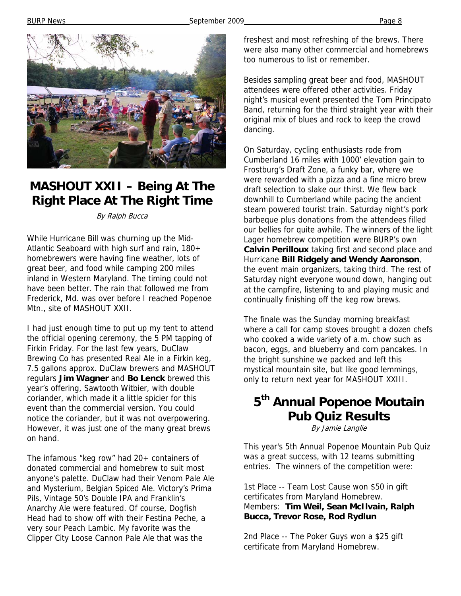BURP News Page 8



## **MASHOUT XXII – Being At The Right Place At The Right Time**

By Ralph Bucca

While Hurricane Bill was churning up the Mid-Atlantic Seaboard with high surf and rain, 180+ homebrewers were having fine weather, lots of great beer, and food while camping 200 miles inland in Western Maryland. The timing could not have been better. The rain that followed me from Frederick, Md. was over before I reached Popenoe Mtn., site of MASHOUT XXII.

I had just enough time to put up my tent to attend the official opening ceremony, the 5 PM tapping of Firkin Friday. For the last few years, DuClaw Brewing Co has presented Real Ale in a Firkin keg, 7.5 gallons approx. DuClaw brewers and MASHOUT regulars **Jim Wagner** and **Bo Lenck** brewed this year's offering, Sawtooth Witbier, with double coriander, which made it a little spicier for this event than the commercial version. You could notice the coriander, but it was not overpowering. However, it was just one of the many great brews on hand.

The infamous "keg row" had 20+ containers of donated commercial and homebrew to suit most anyone's palette. DuClaw had their Venom Pale Ale and Mysterium, Belgian Spiced Ale. Victory's Prima Pils, Vintage 50's Double IPA and Franklin's Anarchy Ale were featured. Of course, Dogfish Head had to show off with their Festina Peche, a very sour Peach Lambic. My favorite was the Clipper City Loose Cannon Pale Ale that was the

freshest and most refreshing of the brews. There were also many other commercial and homebrews too numerous to list or remember.

Besides sampling great beer and food, MASHOUT attendees were offered other activities. Friday night's musical event presented the Tom Principato Band, returning for the third straight year with their original mix of blues and rock to keep the crowd dancing.

On Saturday, cycling enthusiasts rode from Cumberland 16 miles with 1000' elevation gain to Frostburg's Draft Zone, a funky bar, where we were rewarded with a pizza and a fine micro brew draft selection to slake our thirst. We flew back downhill to Cumberland while pacing the ancient steam powered tourist train. Saturday night's pork barbeque plus donations from the attendees filled our bellies for quite awhile. The winners of the light Lager homebrew competition were BURP's own **Calvin Perilloux** taking first and second place and Hurricane **Bill Ridgely and Wendy Aaronson**, the event main organizers, taking third. The rest of Saturday night everyone wound down, hanging out at the campfire, listening to and playing music and continually finishing off the keg row brews.

The finale was the Sunday morning breakfast where a call for camp stoves brought a dozen chefs who cooked a wide variety of a.m. chow such as bacon, eggs, and blueberry and corn pancakes. In the bright sunshine we packed and left this mystical mountain site, but like good lemmings, only to return next year for MASHOUT XXIII.

# **5th Annual Popenoe Moutain Pub Quiz Results**

By Jamie Langlie

This year's 5th Annual Popenoe Mountain Pub Quiz was a great success, with 12 teams submitting entries. The winners of the competition were:

1st Place -- Team Lost Cause won \$50 in gift certificates from Maryland Homebrew. Members: **Tim Weil, Sean McIlvain, Ralph Bucca, Trevor Rose, Rod Rydlun** 

2nd Place -- The Poker Guys won a \$25 gift certificate from Maryland Homebrew.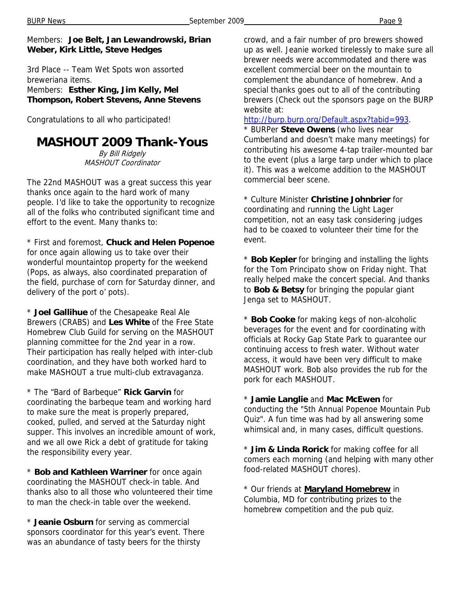Members: **Joe Belt, Jan Lewandrowski, Brian Weber, Kirk Little, Steve Hedges**

3rd Place -- Team Wet Spots won assorted breweriana items. Members: **Esther King, Jim Kelly, Mel** 

**Thompson, Robert Stevens, Anne Stevens**

Congratulations to all who participated!

### **MASHOUT 2009 Thank-Yous**

By Bill Ridgely MASHOUT Coordinator

The 22nd MASHOUT was a great success this year thanks once again to the hard work of many people. I'd like to take the opportunity to recognize all of the folks who contributed significant time and effort to the event. Many thanks to:

\* First and foremost, **Chuck and Helen Popenoe** for once again allowing us to take over their wonderful mountaintop property for the weekend (Pops, as always, also coordinated preparation of the field, purchase of corn for Saturday dinner, and delivery of the port o' pots).

\* **Joel Gallihue** of the Chesapeake Real Ale Brewers (CRABS) and **Les White** of the Free State Homebrew Club Guild for serving on the MASHOUT planning committee for the 2nd year in a row. Their participation has really helped with inter-club coordination, and they have both worked hard to make MASHOUT a true multi-club extravaganza.

\* The "Bard of Barbeque" **Rick Garvin** for coordinating the barbeque team and working hard to make sure the meat is properly prepared, cooked, pulled, and served at the Saturday night supper. This involves an incredible amount of work, and we all owe Rick a debt of gratitude for taking the responsibility every year.

\* **Bob and Kathleen Warriner** for once again coordinating the MASHOUT check-in table. And thanks also to all those who volunteered their time to man the check-in table over the weekend.

\* **Jeanie Osburn** for serving as commercial sponsors coordinator for this year's event. There was an abundance of tasty beers for the thirsty

crowd, and a fair number of pro brewers showed up as well. Jeanie worked tirelessly to make sure all brewer needs were accommodated and there was excellent commercial beer on the mountain to complement the abundance of homebrew. And a special thanks goes out to all of the contributing brewers (Check out the sponsors page on the BURP website at:

http://burp.burp.org/Default.aspx?tabid=993.

\* BURPer **Steve Owens** (who lives near Cumberland and doesn't make many meetings) for contributing his awesome 4-tap trailer-mounted bar to the event (plus a large tarp under which to place it). This was a welcome addition to the MASHOUT commercial beer scene.

\* Culture Minister **Christine Johnbrier** for coordinating and running the Light Lager competition, not an easy task considering judges had to be coaxed to volunteer their time for the event.

\* **Bob Kepler** for bringing and installing the lights for the Tom Principato show on Friday night. That really helped make the concert special. And thanks to **Bob & Betsy** for bringing the popular giant Jenga set to MASHOUT.

\* **Bob Cooke** for making kegs of non-alcoholic beverages for the event and for coordinating with officials at Rocky Gap State Park to guarantee our continuing access to fresh water. Without water access, it would have been very difficult to make MASHOUT work. Bob also provides the rub for the pork for each MASHOUT.

\* **Jamie Langlie** and **Mac McEwen** for conducting the "5th Annual Popenoe Mountain Pub Quiz". A fun time was had by all answering some whimsical and, in many cases, difficult questions.

\* **Jim & Linda Rorick** for making coffee for all comers each morning (and helping with many other food-related MASHOUT chores).

\* Our friends at **Maryland Homebrew** in Columbia, MD for contributing prizes to the homebrew competition and the pub quiz.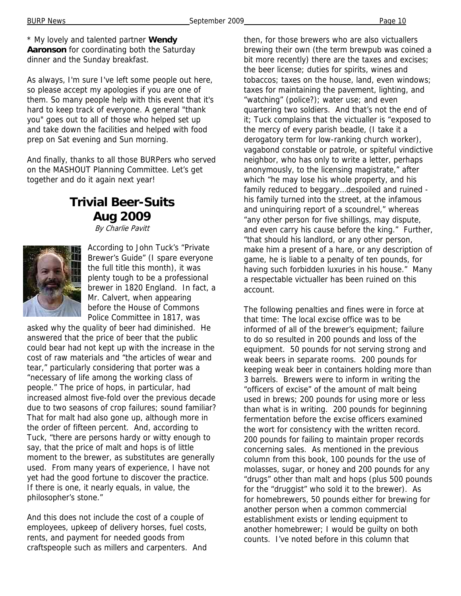\* My lovely and talented partner **Wendy Aaronson** for coordinating both the Saturday dinner and the Sunday breakfast.

As always, I'm sure I've left some people out here, so please accept my apologies if you are one of them. So many people help with this event that it's hard to keep track of everyone. A general "thank you" goes out to all of those who helped set up and take down the facilities and helped with food prep on Sat evening and Sun morning.

And finally, thanks to all those BURPers who served on the MASHOUT Planning Committee. Let's get together and do it again next year!

### **Trivial Beer-Suits Aug 2009**

By Charlie Pavitt



According to John Tuck's "Private Brewer's Guide" (I spare everyone the full title this month), it was plenty tough to be a professional brewer in 1820 England. In fact, a Mr. Calvert, when appearing before the House of Commons Police Committee in 1817, was

asked why the quality of beer had diminished. He answered that the price of beer that the public could bear had not kept up with the increase in the cost of raw materials and "the articles of wear and tear," particularly considering that porter was a "necessary of life among the working class of people." The price of hops, in particular, had increased almost five-fold over the previous decade due to two seasons of crop failures; sound familiar? That for malt had also gone up, although more in the order of fifteen percent. And, according to Tuck, "there are persons hardy or witty enough to say, that the price of malt and hops is of little moment to the brewer, as substitutes are generally used. From many years of experience, I have not yet had the good fortune to discover the practice. If there is one, it nearly equals, in value, the philosopher's stone."

And this does not include the cost of a couple of employees, upkeep of delivery horses, fuel costs, rents, and payment for needed goods from craftspeople such as millers and carpenters. And then, for those brewers who are also victuallers brewing their own (the term brewpub was coined a bit more recently) there are the taxes and excises; the beer license; duties for spirits, wines and tobaccos; taxes on the house, land, even windows; taxes for maintaining the pavement, lighting, and "watching" (police?); water use; and even quartering two soldiers. And that's not the end of it; Tuck complains that the victualler is "exposed to the mercy of every parish beadle, (I take it a derogatory term for low-ranking church worker), vagabond constable or patrole, or spiteful vindictive neighbor, who has only to write a letter, perhaps anonymously, to the licensing magistrate," after which "he may lose his whole property, and his family reduced to beggary…despoiled and ruined his family turned into the street, at the infamous and uninquiring report of a scoundrel," whereas "any other person for five shillings, may dispute, and even carry his cause before the king." Further, "that should his landlord, or any other person, make him a present of a hare, or any description of game, he is liable to a penalty of ten pounds, for having such forbidden luxuries in his house." Many a respectable victualler has been ruined on this account.

The following penalties and fines were in force at that time: The local excise office was to be informed of all of the brewer's equipment; failure to do so resulted in 200 pounds and loss of the equipment. 50 pounds for not serving strong and weak beers in separate rooms. 200 pounds for keeping weak beer in containers holding more than 3 barrels. Brewers were to inform in writing the "officers of excise" of the amount of malt being used in brews; 200 pounds for using more or less than what is in writing. 200 pounds for beginning fermentation before the excise officers examined the wort for consistency with the written record. 200 pounds for failing to maintain proper records concerning sales. As mentioned in the previous column from this book, 100 pounds for the use of molasses, sugar, or honey and 200 pounds for any "drugs" other than malt and hops (plus 500 pounds for the "druggist" who sold it to the brewer). As for homebrewers, 50 pounds either for brewing for another person when a common commercial establishment exists or lending equipment to another homebrewer; I would be guilty on both counts. I've noted before in this column that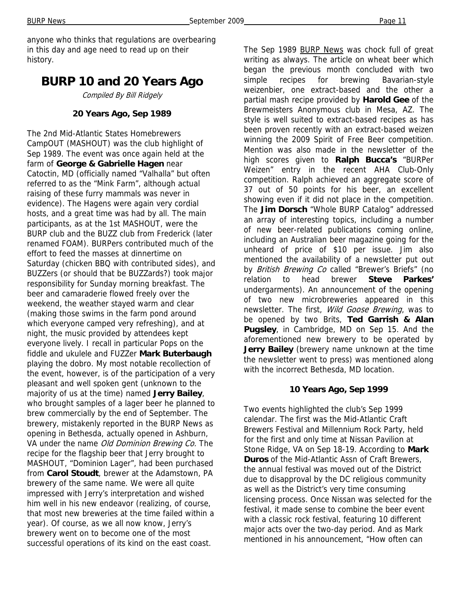BURP News Page 11

anyone who thinks that regulations are overbearing in this day and age need to read up on their history.

### **BURP 10 and 20 Years Ago**

Compiled By Bill Ridgely

#### **20 Years Ago, Sep 1989**

The 2nd Mid-Atlantic States Homebrewers CampOUT (MASHOUT) was the club highlight of Sep 1989. The event was once again held at the farm of **George & Gabrielle Hagen** near Catoctin, MD (officially named "Valhalla" but often referred to as the "Mink Farm", although actual raising of these furry mammals was never in evidence). The Hagens were again very cordial hosts, and a great time was had by all. The main participants, as at the 1st MASHOUT, were the BURP club and the BUZZ club from Frederick (later renamed FOAM). BURPers contributed much of the effort to feed the masses at dinnertime on Saturday (chicken BBQ with contributed sides), and BUZZers (or should that be BUZZards?) took major responsibility for Sunday morning breakfast. The beer and camaraderie flowed freely over the weekend, the weather stayed warm and clear (making those swims in the farm pond around which everyone camped very refreshing), and at night, the music provided by attendees kept everyone lively. I recall in particular Pops on the fiddle and ukulele and FUZZer **Mark Buterbaugh**  playing the dobro. My most notable recollection of the event, however, is of the participation of a very pleasant and well spoken gent (unknown to the majority of us at the time) named **Jerry Bailey**, who brought samples of a lager beer he planned to brew commercially by the end of September. The brewery, mistakenly reported in the BURP News as opening in Bethesda, actually opened in Ashburn, VA under the name Old Dominion Brewing Co. The recipe for the flagship beer that Jerry brought to MASHOUT, "Dominion Lager", had been purchased from **Carol Stoudt**, brewer at the Adamstown, PA brewery of the same name. We were all quite impressed with Jerry's interpretation and wished him well in his new endeavor (realizing, of course, that most new breweries at the time failed within a year). Of course, as we all now know, Jerry's brewery went on to become one of the most successful operations of its kind on the east coast.

The Sep 1989 BURP News was chock full of great writing as always. The article on wheat beer which began the previous month concluded with two simple recipes for brewing Bavarian-style weizenbier, one extract-based and the other a partial mash recipe provided by **Harold Gee** of the Brewmeisters Anonymous club in Mesa, AZ. The style is well suited to extract-based recipes as has been proven recently with an extract-based weizen winning the 2009 Spirit of Free Beer competition. Mention was also made in the newsletter of the high scores given to **Ralph Bucca's** "BURPer Weizen" entry in the recent AHA Club-Only competition. Ralph achieved an aggregate score of 37 out of 50 points for his beer, an excellent showing even if it did not place in the competition. The **Jim Dorsch** "Whole BURP Catalog" addressed an array of interesting topics, including a number of new beer-related publications coming online, including an Australian beer magazine going for the unheard of price of \$10 per issue. Jim also mentioned the availability of a newsletter put out by British Brewing Co called "Brewer's Briefs" (no relation to head brewer **Steve Parkes'**  undergarments). An announcement of the opening of two new microbreweries appeared in this newsletter. The first, Wild Goose Brewing, was to be opened by two Brits, **Ted Garrish & Alan Pugsley**, in Cambridge, MD on Sep 15. And the aforementioned new brewery to be operated by **Jerry Bailey** (brewery name unknown at the time the newsletter went to press) was mentioned along with the incorrect Bethesda, MD location.

#### **10 Years Ago, Sep 1999**

Two events highlighted the club's Sep 1999 calendar. The first was the Mid-Atlantic Craft Brewers Festival and Millennium Rock Party, held for the first and only time at Nissan Pavilion at Stone Ridge, VA on Sep 18-19. According to **Mark Duros** of the Mid-Atlantic Assn of Craft Brewers, the annual festival was moved out of the District due to disapproval by the DC religious community as well as the District's very time consuming licensing process. Once Nissan was selected for the festival, it made sense to combine the beer event with a classic rock festival, featuring 10 different major acts over the two-day period. And as Mark mentioned in his announcement, "How often can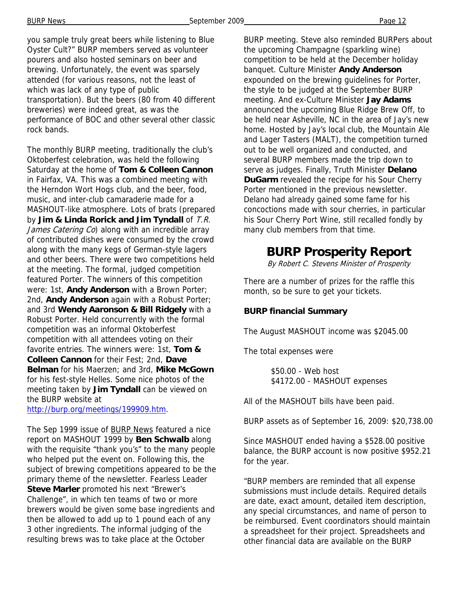you sample truly great beers while listening to Blue Oyster Cult?" BURP members served as volunteer pourers and also hosted seminars on beer and brewing. Unfortunately, the event was sparsely attended (for various reasons, not the least of which was lack of any type of public transportation). But the beers (80 from 40 different breweries) were indeed great, as was the performance of BOC and other several other classic rock bands.

The monthly BURP meeting, traditionally the club's Oktoberfest celebration, was held the following Saturday at the home of **Tom & Colleen Cannon**  in Fairfax, VA. This was a combined meeting with the Herndon Wort Hogs club, and the beer, food, music, and inter-club camaraderie made for a MASHOUT-like atmosphere. Lots of brats (prepared by **Jim & Linda Rorick and Jim Tyndall** of T.R. James Catering Co) along with an incredible array of contributed dishes were consumed by the crowd along with the many kegs of German-style lagers and other beers. There were two competitions held at the meeting. The formal, judged competition featured Porter. The winners of this competition were: 1st, **Andy Anderson** with a Brown Porter; 2nd, **Andy Anderson** again with a Robust Porter; and 3rd **Wendy Aaronson & Bill Ridgely** with a Robust Porter. Held concurrently with the formal competition was an informal Oktoberfest competition with all attendees voting on their favorite entries. The winners were: 1st, **Tom & Colleen Cannon** for their Fest; 2nd, **Dave Belman** for his Maerzen; and 3rd, **Mike McGown**  for his fest-style Helles. Some nice photos of the meeting taken by **Jim Tyndall** can be viewed on the BURP website at

http://burp.org/meetings/199909.htm.

The Sep 1999 issue of **BURP** News featured a nice report on MASHOUT 1999 by **Ben Schwalb** along with the requisite "thank you's" to the many people who helped put the event on. Following this, the subject of brewing competitions appeared to be the primary theme of the newsletter. Fearless Leader **Steve Marler** promoted his next "Brewer's Challenge", in which ten teams of two or more brewers would be given some base ingredients and then be allowed to add up to 1 pound each of any 3 other ingredients. The informal judging of the resulting brews was to take place at the October

BURP meeting. Steve also reminded BURPers about the upcoming Champagne (sparkling wine) competition to be held at the December holiday banquet. Culture Minister **Andy Anderson**  expounded on the brewing guidelines for Porter, the style to be judged at the September BURP meeting. And ex-Culture Minister **Jay Adams**  announced the upcoming Blue Ridge Brew Off, to be held near Asheville, NC in the area of Jay's new home. Hosted by Jay's local club, the Mountain Ale and Lager Tasters (MALT), the competition turned out to be well organized and conducted, and several BURP members made the trip down to serve as judges. Finally, Truth Minister **Delano DuGarm** revealed the recipe for his Sour Cherry Porter mentioned in the previous newsletter. Delano had already gained some fame for his concoctions made with sour cherries, in particular his Sour Cherry Port Wine, still recalled fondly by many club members from that time.

### **BURP Prosperity Report**

By Robert C. Stevens Minister of Prosperity

There are a number of prizes for the raffle this month, so be sure to get your tickets.

#### **BURP financial Summary**

The August MASHOUT income was \$2045.00

The total expenses were

 \$50.00 - Web host \$4172.00 - MASHOUT expenses

All of the MASHOUT bills have been paid.

BURP assets as of September 16, 2009: \$20,738.00

Since MASHOUT ended having a \$528.00 positive balance, the BURP account is now positive \$952.21 for the year.

"BURP members are reminded that all expense submissions must include details. Required details are date, exact amount, detailed item description, any special circumstances, and name of person to be reimbursed. Event coordinators should maintain a spreadsheet for their project. Spreadsheets and other financial data are available on the BURP